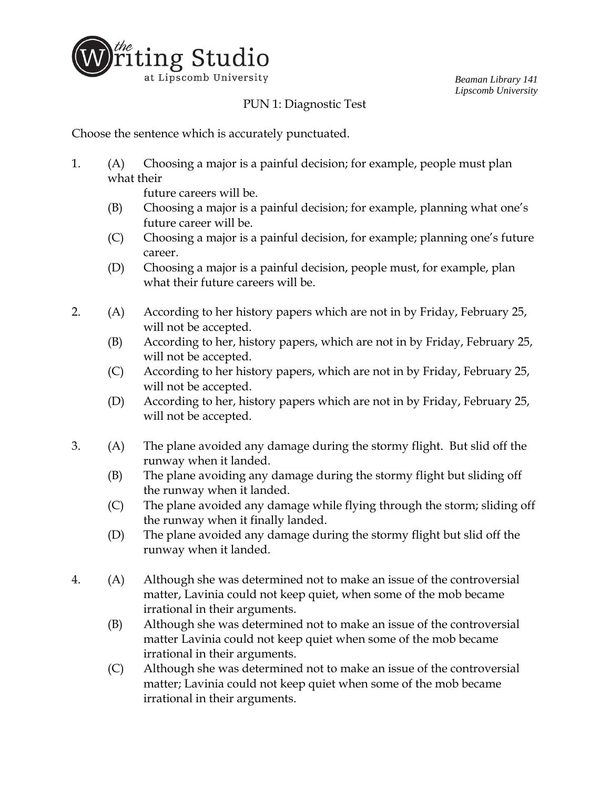

*Beaman Library 141 Lipscomb University*

## PUN 1: Diagnostic Test

Choose the sentence which is accurately punctuated.

1. (A) Choosing a major is a painful decision; for example, people must plan what their

future careers will be.

- (B) Choosing a major is a painful decision; for example, planning what one's future career will be.
- (C) Choosing a major is a painful decision, for example; planning one's future career.
- (D) Choosing a major is a painful decision, people must, for example, plan what their future careers will be.
- 2. (A) According to her history papers which are not in by Friday, February 25, will not be accepted.
	- (B) According to her, history papers, which are not in by Friday, February 25, will not be accepted.
	- (C) According to her history papers, which are not in by Friday, February 25, will not be accepted.
	- (D) According to her, history papers which are not in by Friday, February 25, will not be accepted.
- 3. (A) The plane avoided any damage during the stormy flight. But slid off the runway when it landed.
	- (B) The plane avoiding any damage during the stormy flight but sliding off the runway when it landed.
	- (C) The plane avoided any damage while flying through the storm; sliding off the runway when it finally landed.
	- (D) The plane avoided any damage during the stormy flight but slid off the runway when it landed.
- 4. (A) Although she was determined not to make an issue of the controversial matter, Lavinia could not keep quiet, when some of the mob became irrational in their arguments.
	- (B) Although she was determined not to make an issue of the controversial matter Lavinia could not keep quiet when some of the mob became irrational in their arguments.
	- (C) Although she was determined not to make an issue of the controversial matter; Lavinia could not keep quiet when some of the mob became irrational in their arguments.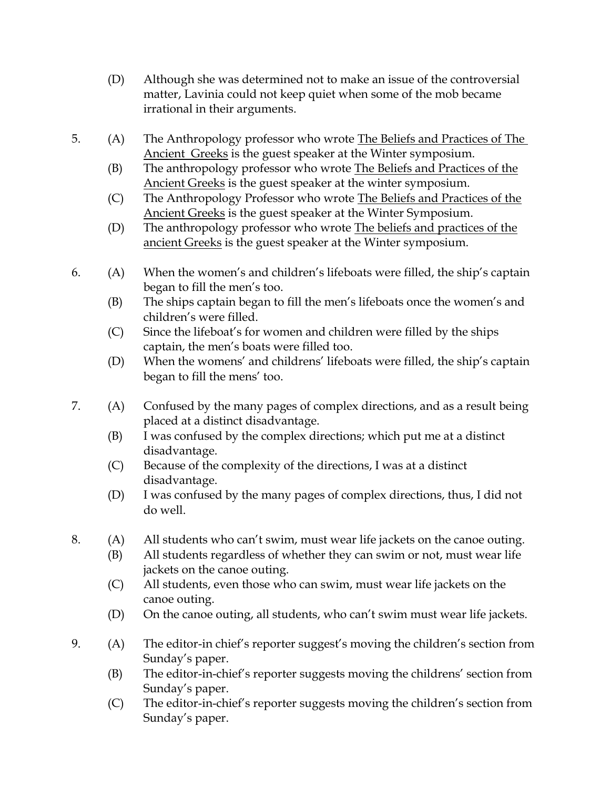- (D) Although she was determined not to make an issue of the controversial matter, Lavinia could not keep quiet when some of the mob became irrational in their arguments.
- 5. (A) The Anthropology professor who wrote The Beliefs and Practices of The Ancient Greeks is the guest speaker at the Winter symposium.
	- (B) The anthropology professor who wrote The Beliefs and Practices of the Ancient Greeks is the guest speaker at the winter symposium.
	- (C) The Anthropology Professor who wrote The Beliefs and Practices of the Ancient Greeks is the guest speaker at the Winter Symposium.
	- (D) The anthropology professor who wrote The beliefs and practices of the ancient Greeks is the guest speaker at the Winter symposium.
- 6. (A) When the women's and children's lifeboats were filled, the ship's captain began to fill the men's too.
	- (B) The ships captain began to fill the men's lifeboats once the women's and children's were filled.
	- (C) Since the lifeboat's for women and children were filled by the ships captain, the men's boats were filled too.
	- (D) When the womens' and childrens' lifeboats were filled, the ship's captain began to fill the mens' too.
- 7. (A) Confused by the many pages of complex directions, and as a result being placed at a distinct disadvantage.
	- (B) I was confused by the complex directions; which put me at a distinct disadvantage.
	- (C) Because of the complexity of the directions, I was at a distinct disadvantage.
	- (D) I was confused by the many pages of complex directions, thus, I did not do well.
- 8. (A) All students who can't swim, must wear life jackets on the canoe outing.
	- (B) All students regardless of whether they can swim or not, must wear life jackets on the canoe outing.
	- (C) All students, even those who can swim, must wear life jackets on the canoe outing.
	- (D) On the canoe outing, all students, who can't swim must wear life jackets.
- 9. (A) The editor-in chief's reporter suggest's moving the children's section from Sunday's paper.
	- (B) The editor-in-chief's reporter suggests moving the childrens' section from Sunday's paper.
	- (C) The editor-in-chief's reporter suggests moving the children's section from Sunday's paper.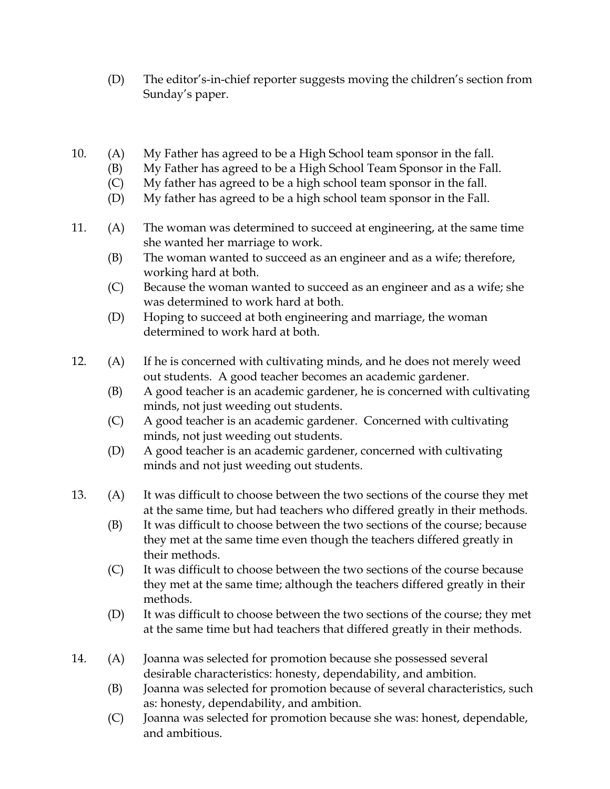- (D) The editor's-in-chief reporter suggests moving the children's section from Sunday's paper.
- 10. (A) My Father has agreed to be a High School team sponsor in the fall.
	- (B) My Father has agreed to be a High School Team Sponsor in the Fall.
	- (C) My father has agreed to be a high school team sponsor in the fall.
	- (D) My father has agreed to be a high school team sponsor in the Fall.
- 11. (A) The woman was determined to succeed at engineering, at the same time she wanted her marriage to work.
	- (B) The woman wanted to succeed as an engineer and as a wife; therefore, working hard at both.
	- (C) Because the woman wanted to succeed as an engineer and as a wife; she was determined to work hard at both.
	- (D) Hoping to succeed at both engineering and marriage, the woman determined to work hard at both.
- 12. (A) If he is concerned with cultivating minds, and he does not merely weed out students. A good teacher becomes an academic gardener.
	- (B) A good teacher is an academic gardener, he is concerned with cultivating minds, not just weeding out students.
	- (C) A good teacher is an academic gardener. Concerned with cultivating minds, not just weeding out students.
	- (D) A good teacher is an academic gardener, concerned with cultivating minds and not just weeding out students.
- 13. (A) It was difficult to choose between the two sections of the course they met at the same time, but had teachers who differed greatly in their methods.
	- (B) It was difficult to choose between the two sections of the course; because they met at the same time even though the teachers differed greatly in their methods.
	- (C) It was difficult to choose between the two sections of the course because they met at the same time; although the teachers differed greatly in their methods.
	- (D) It was difficult to choose between the two sections of the course; they met at the same time but had teachers that differed greatly in their methods.
- 14. (A) Joanna was selected for promotion because she possessed several desirable characteristics: honesty, dependability, and ambition.
	- (B) Joanna was selected for promotion because of several characteristics, such as: honesty, dependability, and ambition.
	- (C) Joanna was selected for promotion because she was: honest, dependable, and ambitious.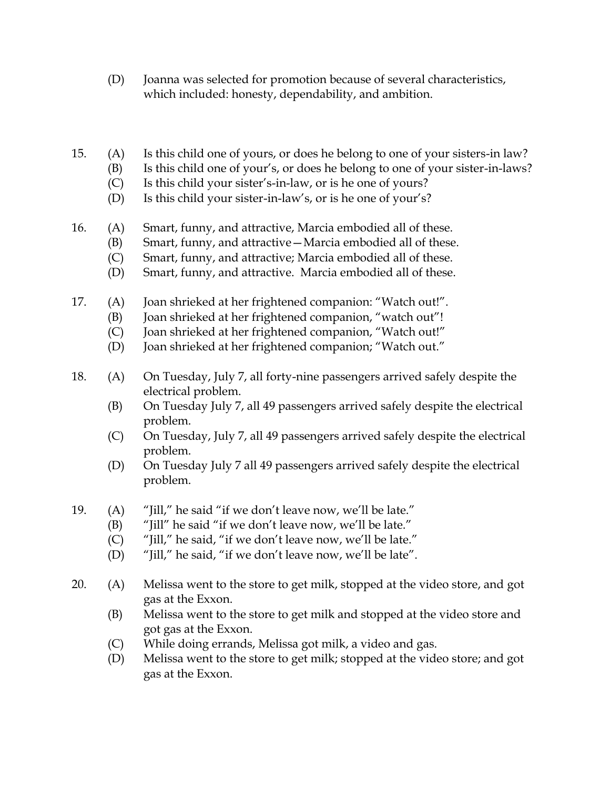- (D) Joanna was selected for promotion because of several characteristics, which included: honesty, dependability, and ambition.
- 15. (A) Is this child one of yours, or does he belong to one of your sisters-in law?
	- (B) Is this child one of your's, or does he belong to one of your sister-in-laws?
	- (C) Is this child your sister's-in-law, or is he one of yours?
	- (D) Is this child your sister-in-law's, or is he one of your's?
- 16. (A) Smart, funny, and attractive, Marcia embodied all of these.
	- (B) Smart, funny, and attractive—Marcia embodied all of these.
	- (C) Smart, funny, and attractive; Marcia embodied all of these.
	- (D) Smart, funny, and attractive. Marcia embodied all of these.
- 17. (A) Joan shrieked at her frightened companion: "Watch out!".
	- (B) Joan shrieked at her frightened companion, "watch out"!
		- (C) Joan shrieked at her frightened companion, "Watch out!"
		- (D) Joan shrieked at her frightened companion; "Watch out."
- 18. (A) On Tuesday, July 7, all forty-nine passengers arrived safely despite the electrical problem.
	- (B) On Tuesday July 7, all 49 passengers arrived safely despite the electrical problem.
	- (C) On Tuesday, July 7, all 49 passengers arrived safely despite the electrical problem.
	- (D) On Tuesday July 7 all 49 passengers arrived safely despite the electrical problem.
- 19. (A) "Jill," he said "if we don't leave now, we'll be late."
	- (B) "Jill" he said "if we don't leave now, we'll be late."
	- (C) "Jill," he said, "if we don't leave now, we'll be late."
	- (D) "Jill," he said, "if we don't leave now, we'll be late".
- 20. (A) Melissa went to the store to get milk, stopped at the video store, and got gas at the Exxon.
	- (B) Melissa went to the store to get milk and stopped at the video store and got gas at the Exxon.
	- (C) While doing errands, Melissa got milk, a video and gas.
	- (D) Melissa went to the store to get milk; stopped at the video store; and got gas at the Exxon.